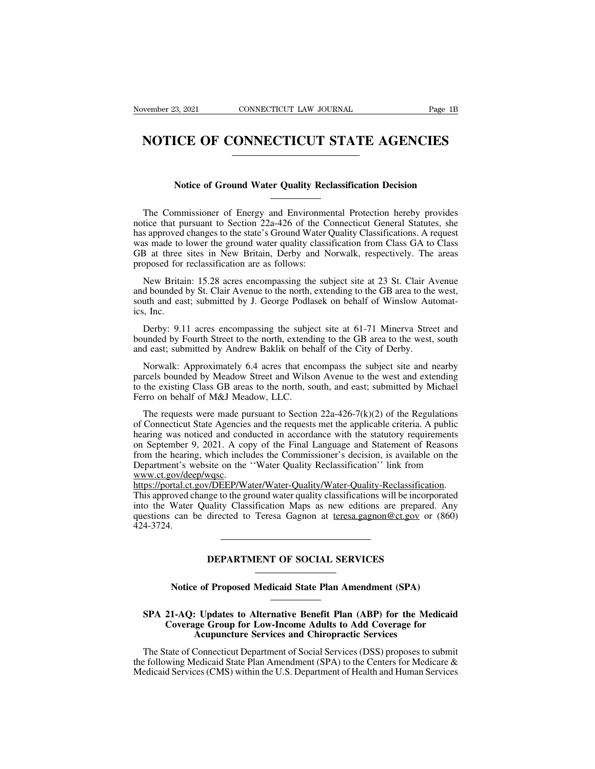# Wember 23, 2021 CONNECTICUT LAW JOURNAL Page 1B<br> **NOTICE OF CONNECTICUT STATE AGENCIES NOTICE OF CONNECTICUT STATE AGENCIES**<br>Notice of Ground Water Quality Reclassification Decision

Notice of Connect Ticut State Auctivenes<br>
Notice of Ground Water Quality Reclassification Decision<br>
The Commissioner of Energy and Environmental Protection hereby provides<br>
tice that pursuant to Section 22a-426 of the Conn Notice of Ground Water Quality Reclassification Decision<br>
The Commissioner of Energy and Environmental Protection hereby provides<br>
notice that pursuant to Section 22a-426 of the Connecticut General Statutes, she<br>
has appro Notice of Ground Water Quality Reclassification Decision<br>The Commissioner of Energy and Environmental Protection hereby provides<br>notice that pursuant to Section 22a-426 of the Connecticut General Statutes, she<br>has approved Notice of Ground Water Quality Reclassification Decision<br>
The Commissioner of Energy and Environmental Protection hereby provides<br>
notice that pursuant to Section 22a-426 of the Connecticut General Statutes, she<br>
has appro Notice of Ground Water Quality Reclassification Decision<br>
The Commissioner of Energy and Environmental Protection hereby provides<br>
notice that pursuant to Section 22a-426 of the Connecticut General Statutes, she<br>
has appro The Commissioner of Energy and Environmental Protection hereby provides<br>notice that pursuant to Section 22a-426 of the Connecticut General Statutes, she<br>has approved changes to the state's Ground Water Quality Classificati The Commissioner of Energy and Environmental Protection hereby provides<br>tice that pursuant to Section 22a-426 of the Connecticut General Statutes, she<br>s approved changes to the state's Ground Water Quality Classifications. notice that pursuant to Section 22a-426 of the Connecticut General Statutes, she<br>has approved changes to the state's Ground Water Quality Classifications. A request<br>was made to lower the ground water quality classification

has approved changes to the state's Ground Water Quality Classifications. A request<br>was made to lower the ground water quality classification from Class GA to Class<br>GB at three sites in New Britain, Derby and Norwalk, resp was made to<br>GB at three<br>proposed for<br>New Britai<br>and bounded is<br>south and eas<br>ics, Inc.<br>Derby: 9.1 posed for reclassification are as follows:<br>New Britain: 15.28 acres encompassing the subject site at 23 St. Clair Avenue<br>d bounded by St. Clair Avenue to the north, extending to the GB area to the west,<br>uth and east; submi New Britain: 15.28 acres encompassing the subject site at 23 St. Clair Avenue<br>and bounded by St. Clair Avenue to the north, extending to the GB area to the west,<br>south and east; submitted by J. George Podlasek on behalf of New Britain: 15.28 acres encompassing the subject site at 23 St. Clair A<br>and bounded by St. Clair Avenue to the north, extending to the GB area to the<br>south and east; submitted by J. George Podlasek on behalf of Winslow Au

uth and east; submitted by J. George Podlasek on behalf of Winslow Automat-<br>
i, Inc.<br>
Derby: 9.11 acres encompassing the subject site at 61-71 Minerva Street and<br>
unded by Fourth Street to the north, extending to the GB ar ics, Inc.<br>
Derby: 9.11 acres encompassing the subject site at 61-71 Minerva Street and<br>
bounded by Fourth Street to the north, extending to the GB area to the west, south<br>
and east; submitted by Andrew Baklik on behalf of Derby: 9.11 acres encompassing the subject site at 61-71 Minerva Street and<br>bounded by Fourth Street to the north, extending to the GB area to the west, south<br>and east; submitted by Andrew Baklik on behalf of the City of D Derby: 9.11 acres encompassing the subjet<br>bounded by Fourth Street to the north, extend<br>and east; submitted by Andrew Baklik on beh<br>Norwalk: Approximately 6.4 acres that ene<br>parcels bounded by Meadow Street and Wilso<br>to th d east; submitted by Andrew Baklik on behalf of the City of Derby.<br>Norwalk: Approximately 6.4 acres that encompass the subject site and nearby<br>rcels bounded by Meadow Street and Wilson Avenue to the west and extending<br>the

Norwalk: Approximately 6.4 acres that encompass the subject site and nearby parcels bounded by Meadow Street and Wilson Avenue to the west and extending to the existing Class GB areas to the north, south, and east; submit Norwalk: Approximately 6.4 acres that encompass the subject site and nearby<br>parcels bounded by Meadow Street and Wilson Avenue to the west and extending<br>to the existing Class GB areas to the north, south, and east; submit parcels bounded by Meadow Street and Wilson Avenue to the west and extending<br>to the existing Class GB areas to the north, south, and east; submitted by Michael<br>Ferro on behalf of M&J Meadow, LLC.<br>The requests were made pur to the existing Class GB areas to the north, south, and east; submitted by Michael<br>Ferro on behalf of M&J Meadow, LLC.<br>The requests were made pursuant to Section 22a-426-7(k)(2) of the Regulations<br>of Connecticut State Age Ferro on behalt of M&J Meadow, LLC.<br>
The requests were made pursuant to Section 22a-426-7(k)(2) of the Regulations<br>
of Connecticut State Agencies and the requests met the applicable criteria. A public<br>
hearing was noticed www.ct.gov/deep/wqsc. or connectical state Agencies and the requests inct the approache enteria. A public<br>hearing was noticed and conducted in accordance with the statutory requirements<br>on September 9, 2021. A copy of the Final Language and Sta

https://portal.ct.gov/DEEP/Water/Water-Quality/Water-Quality-Reclassification. integral was noticed and conducted in accordance with the statutory requirements<br>on September 9, 2021. A copy of the Final Language and Statement of Reasons<br>from the hearing, which includes the Commissioner's decision, is on september 9, 2021. A copy of the Final Language and Statement of Reasons<br>from the hearing, which includes the Commissioner's decision, is available on the<br>Department's website on the "Water Quality Reclassification" lin 424-3724. This approved change to the ground water quality classifications will be incorporated<br>into the Water Quality Classification Maps as new editions are prepared. Any<br>questions can be directed to Teresa Gagnon at <u>teresa.gagno</u> **INSTRIMENT OF SOCIAL SERVICES**<br> **Notice of Proposed Medicaid State Plan Amendment (SPA)** 

# **SPA 21-AQ: Updates to Alternative Benefit Plan (ABP) for the Medicaid<br>
SPA 21-AQ: Updates to Alternative Benefit Plan (ABP) for the Medicaid<br>
Coverage Group for Low-Income Adults to Add Coverage for<br>
Acupuncture Services COVERTMENT OF SOCIAL SERVICES**<br>
Notice of Proposed Medicaid State Plan Amendment (SPA)<br>
21-AQ: Updates to Alternative Benefit Plan (ABP) for the Medicaid<br>
Coverage Group for Low-Income Adults to Add Coverage for<br>
Acupunct **Accord Services and Chiropen Services and Chiropen Services Services Connecticut Department of Social Services (DSS) proposes to** Notice of Proposed Medicaid State Plan Amendment (SPA)<br>
SPA 21-AQ: Updates to Alternative Benefit Plan (ABP) for the Medicaid<br>
Coverage Group for Low-Income Adults to Add Coverage for<br>
Acupuncture Services and Chiropractic

SPA 21-AQ: Updates to Alternative Benefit Plan (ABP) for the Medicaid<br>Coverage Group for Low-Income Adults to Add Coverage for<br>Acupuncture Services and Chiropractic Services<br>The State of Connecticut Department of Social Se SPA 21-AQ: Updates to Alternative Benefit Plan (ABP) for the Medicaid<br>Coverage Group for Low-Income Adults to Add Coverage for<br>Acupuncture Services and Chiropractic Services<br>The State of Connecticut Department of Social Se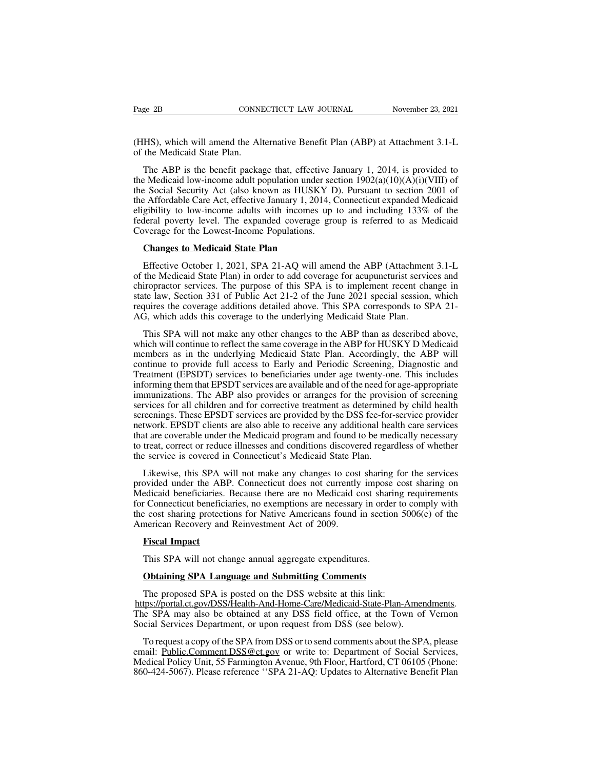Page 2B<br>
CONNECTICUT LAW JOURNAL<br>
(HHS), which will amend the Alternative Benefit Plan (ABP) at Attachment 3.1-L<br>
of the Medicaid State Plan.<br>
The ADD is the law fit and the offerties January 1, 2014, is an ideal to Page 2B CONNI<br>
(HHS), which will amend the Alt<br>
of the Medicaid State Plan.<br>
The ABP is the benefit packa

ge 2B CONNECTICUT LAW JOURNAL November 23, 2021<br>
HS), which will amend the Alternative Benefit Plan (ABP) at Attachment 3.1-L<br>
the Medicaid State Plan.<br>
The ABP is the benefit package that, effective January 1, 2014, is pr Tage 2B<br>
CONNECTICUT LAW JOUNNAL<br>
(HHS), which will amend the Alternative Benefit Plan (ABP) at Attachment 3.1-L<br>
of the Medicaid State Plan.<br>
The ABP is the benefit package that, effective January 1, 2014, is provided to (HHS), which will amend the Alternative Benefit Plan (ABP) at Attachment 3.1-L of the Medicaid State Plan.<br>The ABP is the benefit package that, effective January 1, 2014, is provided to the Medicaid low-income adult popul (HHS), which will amend the Alternative Benefit Plan (ABP) at Attachment 3.1-L of the Medicaid State Plan.<br>
The ABP is the benefit package that, effective January 1, 2014, is provided to the Medicaid low-income adult popu (HHS), which will amend the Alternative Benefit Plan (ABP) at Attachment 3.1-L<br>of the Medicaid State Plan.<br>The ABP is the benefit package that, effective January 1, 2014, is provided to<br>the Medicaid low-income adult popul of the Medicaid State Plan.<br>
The ABP is the benefit package that, effective January 1, 2014, is provided to<br>
the Medicaid low-income adult population under section  $1902(a)(10)(A)(i)(VIII)$  of<br>
the Social Security Act (also know The ABP is the benefit package that, effective J<br>the Medicaid low-income adult population under sec<br>the Social Security Act (also known as HUSKY D<br>the Affordable Care Act, effective January 1, 2014, C<br>eligibility to low-in Exercise Medicaid Iow-income adult population under<br>
Exercise Social Security Act (also known as HUSKY<br>
Exercise Affordable Care Act, effective January 1, 2014<br>
gibility to Iow-income adults with incomes u<br>
leral poverty l Effective October 1, 2021, SPA 21-AQ will amend the ABP (Attachment 3.1-L<br>effective October 1, 2021, SPA 21-AQ will amend the ABP (Attachment 3.1-L<br>effective October 1, 2021, SPA 21-AQ will amend the ABP (Attachment 3.1-L<br>

eligibility to low-income adults with incomes up to and including 133% of the<br>federal poverty level. The expanded coverage group is referred to as Medicaid<br>Coverage for the Lowest-Income Populations.<br>**Changes to Medicaid S** Federal poverty level. The expanded coverage group is referred to as Medicaid<br>Coverage for the Lowest-Income Populations.<br>Changes to Medicaid State Plan<br>Effective October 1, 2021, SPA 21-AQ will amend the ABP (Attachment 3 Coverage for the Lowest-Income Populations.<br> **Changes to Medicaid State Plan**<br>
Effective October 1, 2021, SPA 21-AQ will amend the ABP (Attachment 3.1-L<br>
of the Medicaid State Plan) in order to add coverage for acupuncturi **Changes to Medicaid State Plan**<br>Effective October 1, 2021, SPA 21-AQ will amend the ABP (Attachment 3.1-L<br>of the Medicaid State Plan) in order to add coverage for acupuncturist services and<br>chiropractor services. The purp **Changes to Medicaid State Plan**<br>Effective October 1, 2021, SPA 21-AQ will amend the ABP (Attachmen<br>of the Medicaid State Plan) in order to add coverage for acupuncturist servic<br>chiropractor services. The purpose of this S Effective October 1, 2021, SPA 21-AQ will amend the ABP (Attachment 3.1-L<br>the Medicaid State Plan) in order to add coverage for acupuncturist services and<br>iropractor services. The purpose of this SPA is to implement recent of the Medicaid State Plan) in order to add coverage for acupuncturist services and<br>chiropractor services. The purpose of this SPA is to implement recent change in<br>state law, Section 331 of Public Act 21-2 of the June 2021

chiropractor services. The purpose of this SPA is to implement recent change in state law, Section 331 of Public Act 21-2 of the June 2021 special session, which requires the coverage additions detailed above. This SPA cor state law, Section 331 of Public Act 21-2 of the June 2021 special session, which<br>requires the coverage additions detailed above. This SPA corresponds to SPA 21-<br>AG, which adds this coverage to the underlying Medicaid Stat requires the coverage additions detailed above. This SPA corresponds to SPA 21-<br>AG, which adds this coverage to the underlying Medicaid State Plan.<br>This SPA will not make any other changes to the ABP than as described abov AG, which adds this coverage to the underlying Medicaid State Plan.<br>This SPA will not make any other changes to the ABP than as described above,<br>which will continue to reflect the same coverage in the ABP for HUSKY D Medic This SPA will not make any other changes to the ABP than as described above, which will continue to reflect the same coverage in the ABP for HUSKY D Medicaid members as in the underlying Medicaid State Plan. Accordingly, t This Sr A will not make any other changes to the ABP than as described above, which will continue to reflect the same coverage in the ABP for HUSKY D Medicaid members as in the underlying Medicaid State Plan. Accordingly, which will collinute to circlet the same coverage in the ABT for HOSKT D Medicald<br>members as in the underlying Medicaid State Plan. Accordingly, the ABP will<br>continue to provide full access to Early and Periodic Screening, members as in the underlying intentatal state Trail. Accordingly, the ABT win<br>continue to provide full access to Early and Periodic Screening, Diagnostic and<br>Treatment (EPSDT) services to beneficiaries under age twenty-one Treatment (EPSDT) services to Early and Tenoute Seteching, Diagnosite and Treatment (EPSDT) services to beneficiaries under age twenty-one. This includes informing them that EPSDT services are available and of the need for Treatment (ET SDT) services to occidentalities under age twenty-one. This includes<br>informing them that EPSDT services are available and of the need for age-appropriate<br>immunizations. The ABP also provides or arranges for t Informing them that ET 3DT services are avariable and of the heed for<br>immunizations. The ABP also provides or arranges for the provis<br>services for all children and for corrective treatment as determined<br>screenings. These E rivices for all children and for corrective treatment as determined by child health<br>reenings. These EPSDT services are provided by the DSS fee-for-service provider<br>twork. EPSDT clients are also able to receive any addition screenings. These EPSDT services are provided by the DSS fee-for-service provider<br>network. EPSDT clients are also able to receive any additional health care services<br>that are coverable under the Medicaid program and found

network. EPSDT clients are also able to receive any additional health care services<br>that are coverable under the Medicaid program and found to be medically necessary<br>to treat, correct or reduce illnesses and conditions dis that are coverable under the Medicaid program and found to be medically necessary<br>to treat, correct or reduce illnesses and conditions discovered regardless of whether<br>the service is covered in Connecticut's Medicaid State to treat, correct or reduce illnesses and conditions discovered regardless of whether<br>the service is covered in Connecticut's Medicaid State Plan.<br>Likewise, this SPA will not make any changes to cost sharing for the servic the service is covered in Connecticut's Medicald State PI<br>Likewise, this SPA will not make any changes to cost<br>provided under the ABP. Connecticut does not currently<br>Medicaid beneficiaries. Because there are no Medicaid c<br> Likewise, this SPA wovided under the ABI<br>edicaid beneficiaries.<br> **France Connecticulary**<br> **France Connecticulary**<br> **France Constants Constant**<br> **Fiscal Impact**<br>
This SPA will not cha edicaid beneficiaries. Because there are no Medicaid cost share<br>
The Connecticut beneficiaries, no exemptions are necessary in orde<br>
The cost sharing protections for Native Americans found in sectic<br>
merican Recovery and R **COMECTE CONFIDENTS** and Reinvestment Act of 2009.<br> **Property and Reinvestment Act of 2009.**<br> **Property and Reinvestment Act of 2009.**<br> **Property and Reinvestment Act of 2009.**<br> **Property Act and Submitting Comments**<br> **Obt** 

merican Recovery and Reinvestment Act of 2009.<br> **Fiscal Impact**<br>
This SPA will not change annual aggregate expenditures.<br> **Obtaining SPA Language and Submitting Comments**<br>
The proposed SPA is posted on the DSS website at t https://portal.ct.gov/DSS/Health-And-Home-Care/Medicaid-State-Plan-Amendments. This SPA will not change annual aggregate expenditures.<br> **Obtaining SPA Language and Submitting Comments**<br>
The proposed SPA is posted on the DSS website at this link:<br>
https://portal.ct.gov/DSS/Health-And-Home-Care/Medicai This SPA will not change annual aggregate expenditures.<br> **Obtaining SPA Language and Submitting Comments**<br>
The proposed SPA is posted on the DSS website at this link:<br>
https://portal.ct.gov/DSS/Health-And-Home-Care/Medicai **Obtaining SPA Language and Submitting Comments**<br>The proposed SPA is posted on the DSS website at this link:<br>tps://portal.ct.gov/DSS/Health-And-Home-Care/Medicaid-State-Plan-Amendments.<br>le SPA may also be obtained at any D The proposed SPA is posted on the DSS website at this link:<br>
https://portal.ct.gov/DSS/Health-And-Home-Care/Medicaid-State-Plan-Amendments.<br>
The SPA may also be obtained at any DSS field office, at the Town of Vernon<br>
Soci

The proposed SPA is posted on the DSS website at this link:<br>
https://portal.ct.gov/DSS/Health-And-Home-Care/Medicaid-State-Plan-Amendments.<br>
The SPA may also be obtained at any DSS field office, at the Town of Vernon<br>
Soci https://portal.ct.gov/DSS/Health-And-Home-Care/Medicaid-State-Plan-Amendments.<br>The SPA may also be obtained at any DSS field office, at the Town of Vernon<br>Social Services Department, or upon request from DSS (see below).<br>T